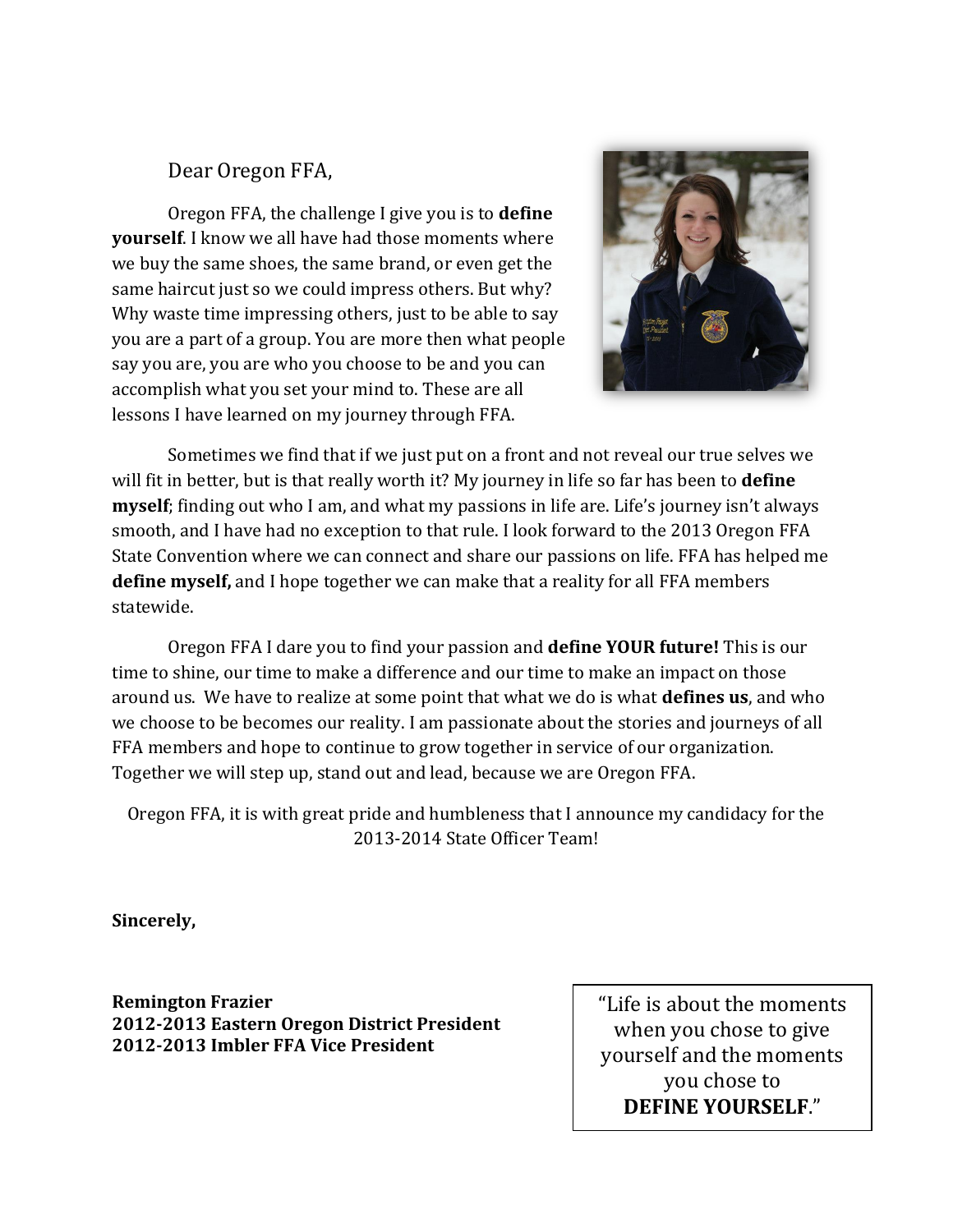### Dear Oregon FFA,

Oregon FFA, the challenge I give you is to **define yourself**. I know we all have had those moments where we buy the same shoes, the same brand, or even get the same haircut just so we could impress others. But why? Why waste time impressing others, just to be able to say you are a part of a group. You are more then what people say you are, you are who you choose to be and you can accomplish what you set your mind to. These are all lessons I have learned on my journey through FFA.



Sometimes we find that if we just put on a front and not reveal our true selves we will fit in better, but is that really worth it? My journey in life so far has been to **define myself**; finding out who I am, and what my passions in life are. Life's journey isn't always smooth, and I have had no exception to that rule. I look forward to the 2013 Oregon FFA State Convention where we can connect and share our passions on life. FFA has helped me **define myself,** and I hope together we can make that a reality for all FFA members statewide.

Oregon FFA I dare you to find your passion and **define YOUR future!** This is our time to shine, our time to make a difference and our time to make an impact on those around us. We have to realize at some point that what we do is what **defines us**, and who we choose to be becomes our reality. I am passionate about the stories and journeys of all FFA members and hope to continue to grow together in service of our organization. Together we will step up, stand out and lead, because we are Oregon FFA.

Oregon FFA, it is with great pride and humbleness that I announce my candidacy for the 2013-2014 State Officer Team!

**Sincerely,**

**Remington Frazier 2012-2013 Eastern Oregon District President 2012-2013 Imbler FFA Vice President** 

"Life is about the moments when you chose to give yourself and the moments you chose to **DEFINE YOURSELF**."